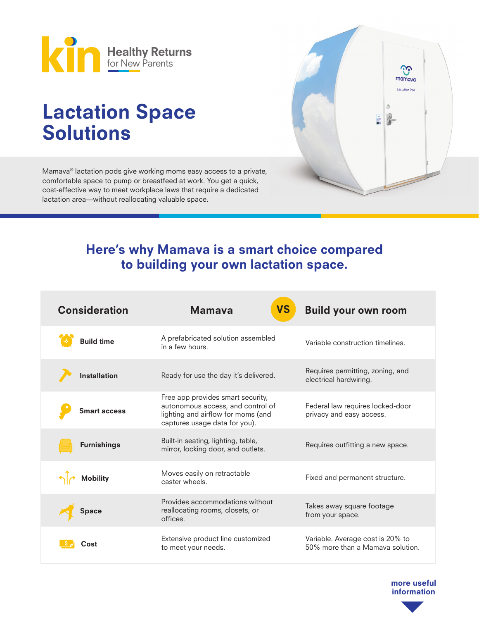

# Lactation Space Solutions

Mamava® lactation pods give working moms easy access to a private, comfortable space to pump or breastfeed at work. You get a quick, cost-effective way to meet workplace laws that require a dedicated lactation area—without reallocating valuable space.



# Here's why Mamava is a smart choice compared to building your own lactation space.

| <b>Consideration</b> | <b>VS</b><br><b>Mamaya</b>                                                                                                                    | <b>Build your own room</b>                                           |
|----------------------|-----------------------------------------------------------------------------------------------------------------------------------------------|----------------------------------------------------------------------|
| <b>Build time</b>    | A prefabricated solution assembled<br>in a few hours.                                                                                         | Variable construction timelines.                                     |
| <b>Installation</b>  | Ready for use the day it's delivered.                                                                                                         | Requires permitting, zoning, and<br>electrical hardwiring.           |
| <b>Smart access</b>  | Free app provides smart security,<br>autonomous access, and control of<br>lighting and airflow for moms (and<br>captures usage data for you). | Federal law requires locked-door<br>privacy and easy access.         |
| <b>Furnishings</b>   | Built-in seating, lighting, table,<br>mirror, locking door, and outlets.                                                                      | Requires outfitting a new space.                                     |
| <b>Mobility</b>      | Moves easily on retractable<br>caster wheels.                                                                                                 | Fixed and permanent structure.                                       |
| Space                | Provides accommodations without<br>reallocating rooms, closets, or<br>offices.                                                                | Takes away square footage<br>from your space.                        |
|                      | Extensive product line customized<br>to meet your needs.                                                                                      | Variable. Average cost is 20% to<br>50% more than a Mamaya solution. |

more useful information